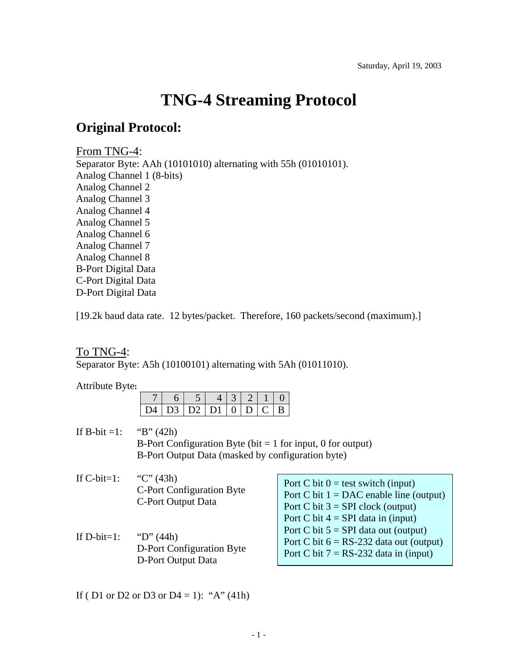# **TNG-4 Streaming Protocol**

## **Original Protocol:**

#### From TNG-4:

Separator Byte: AAh (10101010) alternating with 55h (01010101). Analog Channel 1 (8-bits) Analog Channel 2 Analog Channel 3 Analog Channel 4 Analog Channel 5 Analog Channel 6 Analog Channel 7 Analog Channel 8 B-Port Digital Data C-Port Digital Data D-Port Digital Data

[19.2k baud data rate. 12 bytes/packet. Therefore, 160 packets/second (maximum).]

#### To TNG-4:

Separator Byte: A5h (10100101) alternating with 5Ah (01011010).

Attribute Byte**:**

|  |  | D4   D3   D2   D1   0   D   C   B |  |  |
|--|--|-----------------------------------|--|--|

If B-bit =1: "B" (42h) B-Port Configuration Byte (bit  $= 1$  for input, 0 for output) B-Port Output Data (masked by configuration byte)

If C-bit=1: "C"  $(43h)$ C-Port Configuration Byte C-Port Output Data

If D-bit=1: "D"  $(44h)$ D-Port Configuration Byte D-Port Output Data

Port C bit  $0 =$  test switch (input) Port C bit  $1 = DAC$  enable line (output) Port C bit  $3 = SPI$  clock (output) Port C bit  $4 = SPI$  data in (input) Port C bit  $5 = SPI$  data out (output) Port C bit  $6 = RS-232$  data out (output) Port C bit  $7 = RS-232$  data in (input)

If ( D1 or D2 or D3 or D4 = 1): "A" (41h)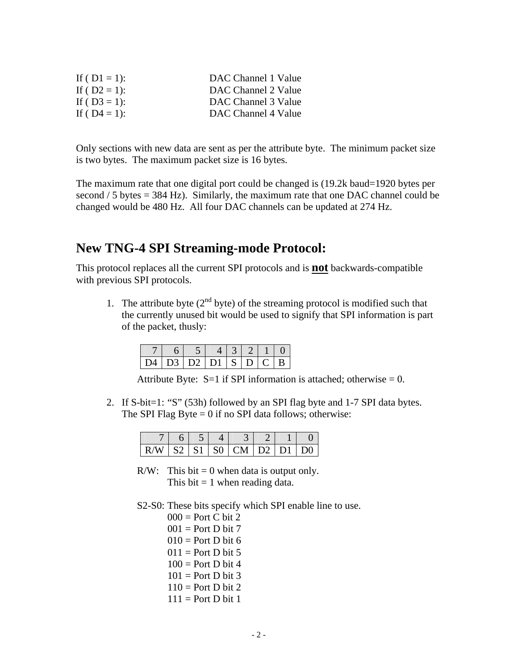| DAC Channel 1 Value |
|---------------------|
| DAC Channel 2 Value |
| DAC Channel 3 Value |
| DAC Channel 4 Value |
|                     |

Only sections with new data are sent as per the attribute byte. The minimum packet size is two bytes. The maximum packet size is 16 bytes.

The maximum rate that one digital port could be changed is (19.2k baud=1920 bytes per second  $/ 5$  bytes = 384 Hz). Similarly, the maximum rate that one DAC channel could be changed would be 480 Hz. All four DAC channels can be updated at 274 Hz.

### **New TNG-4 SPI Streaming-mode Protocol:**

This protocol replaces all the current SPI protocols and is **not** backwards-compatible with previous SPI protocols.

1. The attribute byte  $(2<sup>nd</sup> byte)$  of the streaming protocol is modified such that the currently unused bit would be used to signify that SPI information is part of the packet, thusly:

|  | D4   D3   D2   D1   S   D   C   B |  |  |  |
|--|-----------------------------------|--|--|--|

Attribute Byte:  $S=1$  if SPI information is attached; otherwise = 0.

2. If S-bit=1: "S" (53h) followed by an SPI flag byte and 1-7 SPI data bytes. The SPI Flag Byte  $= 0$  if no SPI data follows; otherwise:

| $R/W$   S2   S1   S0   CM   D2   D1   D0 |  |  |  |  |
|------------------------------------------|--|--|--|--|

- $R/W$ : This bit = 0 when data is output only. This bit  $= 1$  when reading data.
- S2-S0: These bits specify which SPI enable line to use.

| $000 =$ Port C bit 2 |
|----------------------|
| $001 =$ Port D bit 7 |
| $010 =$ Port D bit 6 |
| $011 =$ Port D bit 5 |
| $100 =$ Port D bit 4 |
| $101 =$ Port D bit 3 |
| $110 =$ Port D bit 2 |
| $111 =$ Port D bit 1 |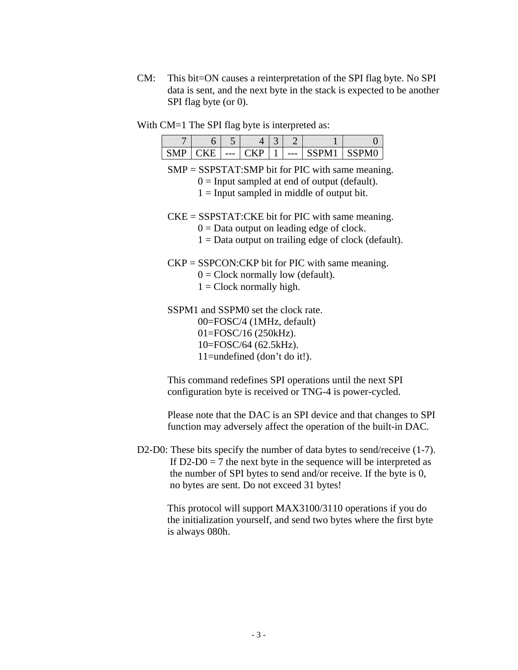- CM: This bit=ON causes a reinterpretation of the SPI flag byte. No SPI data is sent, and the next byte in the stack is expected to be another SPI flag byte (or 0).
- With CM=1 The SPI flag byte is interpreted as:

|  | ت     |   | ັ |     |   |  |
|--|-------|---|---|-----|---|--|
|  | $---$ | . |   | --- | ້ |  |

SMP = SSPSTAT:SMP bit for PIC with same meaning.

- $0 =$  Input sampled at end of output (default).
- $1 =$  Input sampled in middle of output bit.
- CKE = SSPSTAT:CKE bit for PIC with same meaning.
	- $0 =$ Data output on leading edge of clock.
	- $1 =$  Data output on trailing edge of clock (default).
- $CKP = SSPCON:CKP$  bit for PIC with same meaning.
	- $0 =$  Clock normally low (default).
	- $1 =$  Clock normally high.
- SSPM1 and SSPM0 set the clock rate. 00=FOSC/4 (1MHz, default) 01=FOSC/16 (250kHz). 10=FOSC/64 (62.5kHz). 11=undefined (don't do it!).

This command redefines SPI operations until the next SPI configuration byte is received or TNG-4 is power-cycled.

Please note that the DAC is an SPI device and that changes to SPI function may adversely affect the operation of the built-in DAC.

D2-D0: These bits specify the number of data bytes to send/receive (1-7). If  $D2-D0 = 7$  the next byte in the sequence will be interpreted as the number of SPI bytes to send and/or receive. If the byte is 0, no bytes are sent. Do not exceed 31 bytes!

> This protocol will support MAX3100/3110 operations if you do the initialization yourself, and send two bytes where the first byte is always 080h.